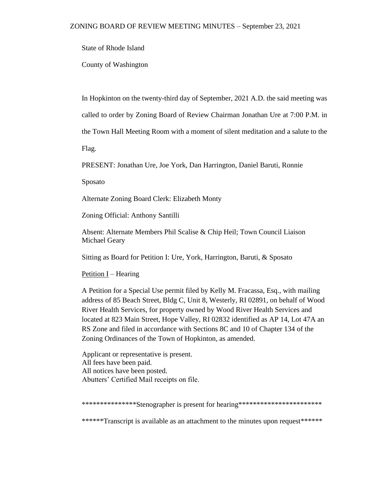State of Rhode Island

County of Washington

In Hopkinton on the twenty-third day of September, 2021 A.D. the said meeting was

called to order by Zoning Board of Review Chairman Jonathan Ure at 7:00 P.M. in

the Town Hall Meeting Room with a moment of silent meditation and a salute to the

Flag.

PRESENT: Jonathan Ure, Joe York, Dan Harrington, Daniel Baruti, Ronnie

Sposato

Alternate Zoning Board Clerk: Elizabeth Monty

Zoning Official: Anthony Santilli

Absent: Alternate Members Phil Scalise & Chip Heil; Town Council Liaison Michael Geary

Sitting as Board for Petition I: Ure, York, Harrington, Baruti, & Sposato

Petition  $I$  – Hearing

A Petition for a Special Use permit filed by Kelly M. Fracassa, Esq., with mailing address of 85 Beach Street, Bldg C, Unit 8, Westerly, RI 02891, on behalf of Wood River Health Services, for property owned by Wood River Health Services and located at 823 Main Street, Hope Valley, RI 02832 identified as AP 14, Lot 47A an RS Zone and filed in accordance with Sections 8C and 10 of Chapter 134 of the Zoning Ordinances of the Town of Hopkinton, as amended.

Applicant or representative is present. All fees have been paid. All notices have been posted. Abutters' Certified Mail receipts on file.

\*\*\*\*\*\*\*\*\*\*\*\*\*\*\*\*Stenographer is present for hearing\*\*\*\*\*\*\*\*\*\*\*\*\*\*\*\*\*\*\*\*\*\*\*\*\*\*

\*\*\*\*\*\*\*Transcript is available as an attachment to the minutes upon request\*\*\*\*\*\*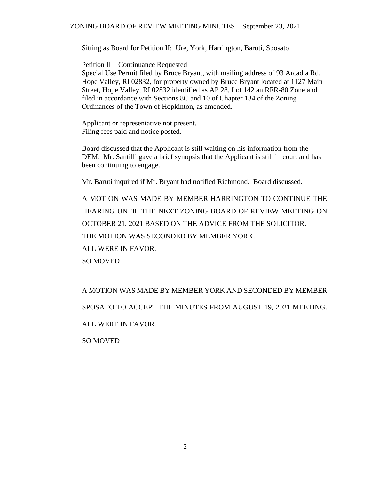## ZONING BOARD OF REVIEW MEETING MINUTES – September 23, 2021

Sitting as Board for Petition II: Ure, York, Harrington, Baruti, Sposato

Petition II – Continuance Requested

Special Use Permit filed by Bruce Bryant, with mailing address of 93 Arcadia Rd, Hope Valley, RI 02832, for property owned by Bruce Bryant located at 1127 Main Street, Hope Valley, RI 02832 identified as AP 28, Lot 142 an RFR-80 Zone and filed in accordance with Sections 8C and 10 of Chapter 134 of the Zoning Ordinances of the Town of Hopkinton, as amended.

Applicant or representative not present. Filing fees paid and notice posted.

Board discussed that the Applicant is still waiting on his information from the DEM. Mr. Santilli gave a brief synopsis that the Applicant is still in court and has been continuing to engage.

Mr. Baruti inquired if Mr. Bryant had notified Richmond. Board discussed.

A MOTION WAS MADE BY MEMBER HARRINGTON TO CONTINUE THE HEARING UNTIL THE NEXT ZONING BOARD OF REVIEW MEETING ON OCTOBER 21, 2021 BASED ON THE ADVICE FROM THE SOLICITOR. THE MOTION WAS SECONDED BY MEMBER YORK. ALL WERE IN FAVOR. SO MOVED

A MOTION WAS MADE BY MEMBER YORK AND SECONDED BY MEMBER SPOSATO TO ACCEPT THE MINUTES FROM AUGUST 19, 2021 MEETING. ALL WERE IN FAVOR.

SO MOVED